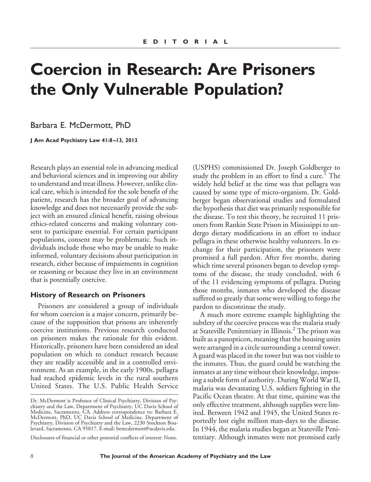# **Coercion in Research: Are Prisoners the Only Vulnerable Population?**

Barbara E. McDermott, PhD

**J Am Acad Psychiatry Law 41:8 –13, 2013**

Research plays an essential role in advancing medical and behavioral sciences and in improving our ability to understand and treat illness. However, unlike clinical care, which is intended for the sole benefit of the patient, research has the broader goal of advancing knowledge and does not necessarily provide the subject with an ensured clinical benefit, raising obvious ethics-related concerns and making voluntary consent to participate essential. For certain participant populations, consent may be problematic. Such individuals include those who may be unable to make informed, voluntary decisions about participation in research, either because of impairments in cognition or reasoning or because they live in an environment that is potentially coercive.

#### **History of Research on Prisoners**

Prisoners are considered a group of individuals for whom coercion is a major concern, primarily because of the supposition that prisons are inherently coercive institutions. Previous research conducted on prisoners makes the rationale for this evident. Historically, prisoners have been considered an ideal population on which to conduct research because they are readily accessible and in a controlled environment. As an example, in the early 1900s, pellagra had reached epidemic levels in the rural southern United States. The U.S. Public Health Service

Disclosures of financial or other potential conflicts of interest: None.

(USPHS) commissioned Dr. Joseph Goldberger to study the problem in an effort to find a cure.<sup>1</sup> The widely held belief at the time was that pellagra was caused by some type of micro-organism. Dr. Goldberger began observational studies and formulated the hypothesis that diet was primarily responsible for the disease. To test this theory, he recruited 11 prisoners from Rankin State Prison in Mississippi to undergo dietary modifications in an effort to induce pellagra in these otherwise healthy volunteers. In exchange for their participation, the prisoners were promised a full pardon. After five months, during which time several prisoners began to develop symptoms of the disease, the study concluded, with 6 of the 11 evidencing symptoms of pellagra. During those months, inmates who developed the disease suffered so greatly that some were willing to forgo the pardon to discontinue the study.

A much more extreme example highlighting the subtlety of the coercive process was the malaria study at Stateville Penitentiary in Illinois.<sup>2</sup> The prison was built as a panopticon, meaning that the housing units were arranged in a circle surrounding a central tower. A guard was placed in the tower but was not visible to the inmates. Thus, the guard could be watching the inmates at any time without their knowledge, imposing a subtle form of authority. During World War II, malaria was devastating U.S. soldiers fighting in the Pacific Ocean theatre. At that time, quinine was the only effective treatment, although supplies were limited. Between 1942 and 1945, the United States reportedly lost eight million man-days to the disease. In 1944, the malaria studies began at Stateville Penitentiary. Although inmates were not promised early

Dr. McDermott is Professor of Clinical Psychiatry, Division of Psychiatry and the Law, Department of Psychiatry, UC Davis School of Medicine, Sacramento, CA. Address correspondence to: Barbara E. McDermott, PhD, UC Davis School of Medicine, Department of Psychiatry, Division of Psychiatry and the Law, 2230 Stockton Boulevard, Sacramento, CA 95817. E-mail: bemcdermott@ucdavis.edu.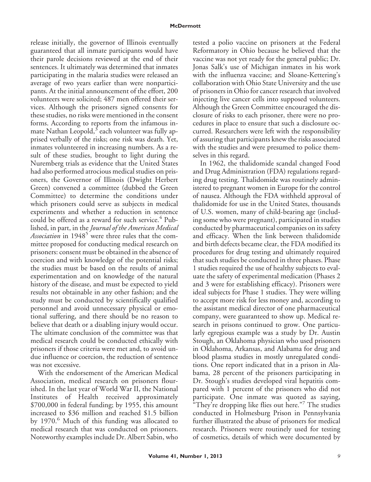release initially, the governor of Illinois eventually guaranteed that all inmate participants would have their parole decisions reviewed at the end of their sentences. It ultimately was determined that inmates participating in the malaria studies were released an average of two years earlier than were nonparticipants. At the initial announcement of the effort, 200 volunteers were solicited; 487 men offered their services. Although the prisoners signed consents for these studies, no risks were mentioned in the consent forms. According to reports from the infamous inmate Nathan Leopold, $3$  each volunteer was fully apprised verbally of the risks; one risk was death. Yet, inmates volunteered in increasing numbers. As a result of these studies, brought to light during the Nuremberg trials as evidence that the United States had also performed atrocious medical studies on prisoners, the Governor of Illinois (Dwight Herbert Green) convened a committee (dubbed the Green Committee) to determine the conditions under which prisoners could serve as subjects in medical experiments and whether a reduction in sentence could be offered as a reward for such service.<sup>4</sup> Published, in part, in the *Journal of the American Medical Association* in 1948<sup>5</sup> were three rules that the committee proposed for conducting medical research on prisoners: consent must be obtained in the absence of coercion and with knowledge of the potential risks; the studies must be based on the results of animal experimentation and on knowledge of the natural history of the disease, and must be expected to yield results not obtainable in any other fashion; and the study must be conducted by scientifically qualified personnel and avoid unnecessary physical or emotional suffering, and there should be no reason to believe that death or a disabling injury would occur. The ultimate conclusion of the committee was that medical research could be conducted ethically with prisoners if those criteria were met and, to avoid undue influence or coercion, the reduction of sentence was not excessive.

With the endorsement of the American Medical Association, medical research on prisoners flourished. In the last year of World War II, the National Institutes of Health received approximately \$700,000 in federal funding; by 1955, this amount increased to \$36 million and reached \$1.5 billion by 1970.<sup>6</sup> Much of this funding was allocated to medical research that was conducted on prisoners. Noteworthy examples include Dr. Albert Sabin, who

tested a polio vaccine on prisoners at the Federal Reformatory in Ohio because he believed that the vaccine was not yet ready for the general public; Dr. Jonas Salk's use of Michigan inmates in his work with the influenza vaccine; and Sloane-Kettering's collaboration with Ohio State University and the use of prisoners in Ohio for cancer research that involved injecting live cancer cells into supposed volunteers. Although the Green Committee encouraged the disclosure of risks to each prisoner, there were no procedures in place to ensure that such a disclosure occurred. Researchers were left with the responsibility of assuring that participants knew the risks associated with the studies and were presumed to police themselves in this regard.

In 1962, the thalidomide scandal changed Food and Drug Administration (FDA) regulations regarding drug testing. Thalidomide was routinely administered to pregnant women in Europe for the control of nausea. Although the FDA withheld approval of thalidomide for use in the United States, thousands of U.S. women, many of child-bearing age (including some who were pregnant), participated in studies conducted by pharmaceutical companies on its safety and efficacy. When the link between thalidomide and birth defects became clear, the FDA modified its procedures for drug testing and ultimately required that such studies be conducted in three phases. Phase 1 studies required the use of healthy subjects to evaluate the safety of experimental medication (Phases 2 and 3 were for establishing efficacy). Prisoners were ideal subjects for Phase 1 studies. They were willing to accept more risk for less money and, according to the assistant medical director of one pharmaceutical company, were guaranteed to show up. Medical research in prisons continued to grow. One particularly egregious example was a study by Dr. Austin Stough, an Oklahoma physician who used prisoners in Oklahoma, Arkansas, and Alabama for drug and blood plasma studies in mostly unregulated conditions. One report indicated that in a prison in Alabama, 28 percent of the prisoners participating in Dr. Stough's studies developed viral hepatitis compared with 1 percent of the prisoners who did not participate. One inmate was quoted as saying, "They're dropping like flies out here."<sup>7</sup> The studies conducted in Holmesburg Prison in Pennsylvania further illustrated the abuse of prisoners for medical research. Prisoners were routinely used for testing of cosmetics, details of which were documented by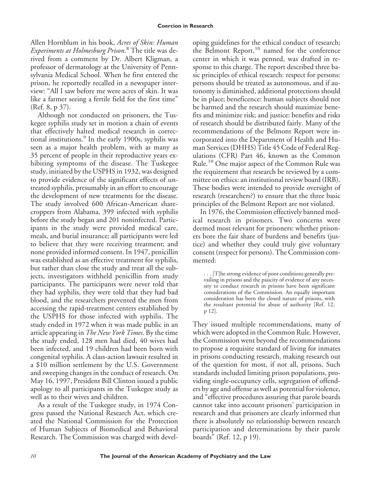#### **Coercion in Research**

Allen Hornblum in his book, *Acres of Skin: Human Experiments at Holmesburg Prison*. <sup>8</sup> The title was derived from a comment by Dr. Albert Kligman, a professor of dermatology at the University of Pennsylvania Medical School. When he first entered the prison, he reportedly recalled in a newspaper interview: "All I saw before me were acres of skin. It was like a farmer seeing a fertile field for the first time" (Ref. 8, p 37).

Although not conducted on prisoners, the Tuskegee syphilis study set in motion a chain of events that effectively halted medical research in correctional institutions. $9$  In the early 1900s, syphilis was seen as a major health problem, with as many as 35 percent of people in their reproductive years exhibiting symptoms of the disease. The Tuskegee study, initiated by the USPHS in 1932, was designed to provide evidence of the significant effects of untreated syphilis, presumably in an effort to encourage the development of new treatments for the disease. The study involved 600 African-American sharecroppers from Alabama, 399 infected with syphilis before the study began and 201 noninfected. Participants in the study were provided medical care, meals, and burial insurance; all participants were led to believe that they were receiving treatment; and none provided informed consent. In 1947, penicillin was established as an effective treatment for syphilis, but rather than close the study and treat all the subjects, investigators withheld penicillin from study participants. The participants were never told that they had syphilis, they were told that they had bad blood, and the researchers prevented the men from accessing the rapid-treatment centers established by the USPHS for those infected with syphilis. The study ended in 1972 when it was made public in an article appearing in *The New York Times*. By the time the study ended, 128 men had died, 40 wives had been infected, and 19 children had been born with congenital syphilis. A class-action lawsuit resulted in a \$10 million settlement by the U.S. Government and sweeping changes in the conduct of research. On May 16, 1997, President Bill Clinton issued a public apology to all participants in the Tuskegee study as well as to their wives and children.

As a result of the Tuskegee study, in 1974 Congress passed the National Research Act, which created the National Commission for the Protection of Human Subjects of Biomedical and Behavioral Research. The Commission was charged with devel-

oping guidelines for the ethical conduct of research; the Belmont Report,<sup>10</sup> named for the conference center in which it was penned, was drafted in response to this charge. The report described three basic principles of ethical research: respect for persons: persons should be treated as autonomous, and if autonomy is diminished, additional protections should be in place; beneficence: human subjects should not be harmed and the research should maximize benefits and minimize risk; and justice: benefits and risks of research should be distributed fairly. Many of the recommendations of the Belmont Report were incorporated into the Department of Health and Human Services (DHHS) Title 45 Code of Federal Regulations (CFR) Part 46, known as the Common Rule.<sup>10</sup> One major aspect of the Common Rule was the requirement that research be reviewed by a committee on ethics: an institutional review board (IRB). These bodies were intended to provide oversight of research (researchers?) to ensure that the three basic principles of the Belmont Report are not violated.

In 1976, the Commission effectively banned medical research in prisoners. Two concerns were deemed most relevant for prisoners: whether prisoners bore the fair share of burdens and benefits (justice) and whether they could truly give voluntary consent (respect for persons). The Commission commented:

. . . [T]he strong evidence of poor conditions generally prevailing in prisons and the paucity of evidence of any necessity to conduct research in prisons have been significant considerations of the Commission. An equally important consideration has been the closed nature of prisons, with the resultant potential for abuse of authority [Ref. 12, p 12].

They issued multiple recommendations, many of which were adopted in the Common Rule. However, the Commission went beyond the recommendations to propose a requisite standard of living for inmates in prisons conducting research, making research out of the question for most, if not all, prisons. Such standards included limiting prison populations, providing single-occupancy cells, segregation of offenders by age and offense as well as potential for violence, and "effective procedures assuring that parole boards cannot take into account prisoners' participation in research and that prisoners are clearly informed that there is absolutely no relationship between research participation and determinations by their parole boards" (Ref. 12, p 19).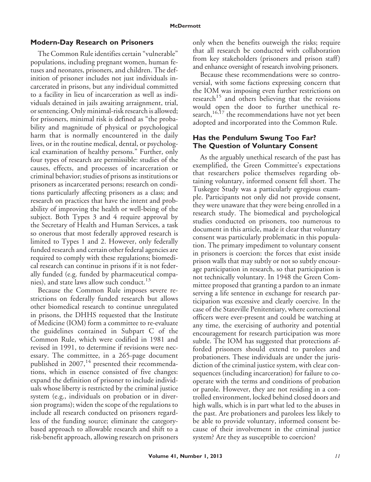### **Modern-Day Research on Prisoners**

The Common Rule identifies certain "vulnerable" populations, including pregnant women, human fetuses and neonates, prisoners, and children. The definition of prisoner includes not just individuals incarcerated in prisons, but any individual committed to a facility in lieu of incarceration as well as individuals detained in jails awaiting arraignment, trial, or sentencing. Only minimal-risk research is allowed; for prisoners, minimal risk is defined as "the probability and magnitude of physical or psychological harm that is normally encountered in the daily lives, or in the routine medical, dental, or psychological examination of healthy persons." Further, only four types of research are permissible: studies of the causes, effects, and processes of incarceration or criminal behavior; studies of prisons as institutions or prisoners as incarcerated persons; research on conditions particularly affecting prisoners as a class; and research on practices that have the intent and probability of improving the health or well-being of the subject. Both Types 3 and 4 require approval by the Secretary of Health and Human Services, a task so onerous that most federally approved research is limited to Types 1 and 2. However, only federally funded research and certain other federal agencies are required to comply with these regulations; biomedical research can continue in prisons if it is not federally funded (e.g. funded by pharmaceutical companies), and state laws allow such conduct.<sup>13</sup>

Because the Common Rule imposes severe restrictions on federally funded research but allows other biomedical research to continue unregulated in prisons, the DHHS requested that the Institute of Medicine (IOM) form a committee to re-evaluate the guidelines contained in Subpart C of the Common Rule, which were codified in 1981 and revised in 1991, to determine if revisions were necessary. The committee, in a 265-page document published in  $2007$ ,<sup>14</sup> presented their recommendations, which in essence consisted of five changes: expand the definition of prisoner to include individuals whose liberty is restricted by the criminal justice system (e.g., individuals on probation or in diversion programs); widen the scope of the regulations to include all research conducted on prisoners regardless of the funding source; eliminate the categorybased approach to allowable research and shift to a risk-benefit approach, allowing research on prisoners only when the benefits outweigh the risks; require that all research be conducted with collaboration from key stakeholders (prisoners and prison staff) and enhance oversight of research involving prisoners.

Because these recommendations were so controversial, with some factions expressing concern that the IOM was imposing even further restrictions on research<sup>15</sup> and others believing that the revisions would open the door to further unethical research,<sup>16,17</sup> the recommendations have not yet been adopted and incorporated into the Common Rule.

## **Has the Pendulum Swung Too Far? The Question of Voluntary Consent**

As the arguably unethical research of the past has exemplified, the Green Committee's expectations that researchers police themselves regarding obtaining voluntary, informed consent fell short. The Tuskegee Study was a particularly egregious example. Participants not only did not provide consent, they were unaware that they were being enrolled in a research study. The biomedical and psychological studies conducted on prisoners, too numerous to document in this article, made it clear that voluntary consent was particularly problematic in this population. The primary impediment to voluntary consent in prisoners is coercion: the forces that exist inside prison walls that may subtly or not so subtly encourage participation in research, so that participation is not technically voluntary. In 1948 the Green Committee proposed that granting a pardon to an inmate serving a life sentence in exchange for research participation was excessive and clearly coercive. In the case of the Stateville Penitentiary, where correctional officers were ever-present and could be watching at any time, the exercising of authority and potential encouragement for research participation was more subtle. The IOM has suggested that protections afforded prisoners should extend to parolees and probationers. These individuals are under the jurisdiction of the criminal justice system, with clear consequences (including incarceration) for failure to cooperate with the terms and conditions of probation or parole. However, they are not residing in a controlled environment, locked behind closed doors and high walls, which is in part what led to the abuses in the past. Are probationers and parolees less likely to be able to provide voluntary, informed consent because of their involvement in the criminal justice system? Are they as susceptible to coercion?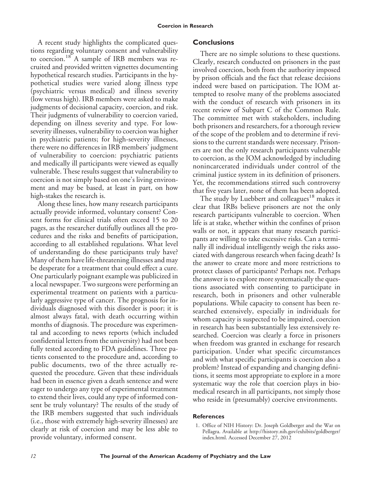A recent study highlights the complicated questions regarding voluntary consent and vulnerability to coercion.<sup>18</sup> A sample of IRB members was recruited and provided written vignettes documenting hypothetical research studies. Participants in the hypothetical studies were varied along illness type (psychiatric versus medical) and illness severity (low versus high). IRB members were asked to make judgments of decisional capacity, coercion, and risk. Their judgments of vulnerability to coercion varied, depending on illness severity and type. For lowseverity illnesses, vulnerability to coercion was higher in psychiatric patients; for high-severity illnesses, there were no differences in IRB members' judgment of vulnerability to coercion: psychiatric patients and medically ill participants were viewed as equally vulnerable. These results suggest that vulnerability to coercion is not simply based on one's living environment and may be based, at least in part, on how high-stakes the research is.

Along these lines, how many research participants actually provide informed, voluntary consent? Consent forms for clinical trials often exceed 15 to 20 pages, as the researcher dutifully outlines all the procedures and the risks and benefits of participation, according to all established regulations. What level of understanding do these participants truly have? Many of them have life-threatening illnesses and may be desperate for a treatment that could effect a cure. One particularly poignant example was publicized in a local newspaper. Two surgeons were performing an experimental treatment on patients with a particularly aggressive type of cancer. The prognosis for individuals diagnosed with this disorder is poor; it is almost always fatal, with death occurring within months of diagnosis. The procedure was experimental and according to news reports (which included confidential letters from the university) had not been fully tested according to FDA guidelines. Three patients consented to the procedure and, according to public documents, two of the three actually requested the procedure. Given that these individuals had been in essence given a death sentence and were eager to undergo any type of experimental treatment to extend their lives, could any type of informed consent be truly voluntary? The results of the study of the IRB members suggested that such individuals (i.e., those with extremely high-severity illnesses) are clearly at risk of coercion and may be less able to provide voluntary, informed consent.

## **Conclusions**

There are no simple solutions to these questions. Clearly, research conducted on prisoners in the past involved coercion, both from the authority imposed by prison officials and the fact that release decisions indeed were based on participation. The IOM attempted to resolve many of the problems associated with the conduct of research with prisoners in its recent review of Subpart C of the Common Rule. The committee met with stakeholders, including both prisoners and researchers, for a thorough review of the scope of the problem and to determine if revisions to the current standards were necessary. Prisoners are not the only research participants vulnerable to coercion, as the IOM acknowledged by including nonincarcerated individuals under control of the criminal justice system in its definition of prisoners. Yet, the recommendations stirred such controversy that five years later, none of them has been adopted.

The study by Luebbert and colleagues<sup>18</sup> makes it clear that IRBs believe prisoners are not the only research participants vulnerable to coercion. When life is at stake, whether within the confines of prison walls or not, it appears that many research participants are willing to take excessive risks. Can a terminally ill individual intelligently weigh the risks associated with dangerous research when facing death? Is the answer to create more and more restrictions to protect classes of participants? Perhaps not. Perhaps the answer is to explore more systematically the questions associated with consenting to participate in research, both in prisoners and other vulnerable populations. While capacity to consent has been researched extensively, especially in individuals for whom capacity is suspected to be impaired, coercion in research has been substantially less extensively researched. Coercion was clearly a force in prisoners when freedom was granted in exchange for research participation. Under what specific circumstances and with what specific participants is coercion also a problem? Instead of expanding and changing definitions, it seems most appropriate to explore in a more systematic way the role that coercion plays in biomedical research in all participants, not simply those who reside in (presumably) coercive environments.

#### **References**

<sup>1.</sup> Office of NIH History: Dr. Joseph Goldberger and the War on Pellagra. Available at http://history.nih.gov/exhibits/goldberger/ index.html. Accessed December 27, 2012